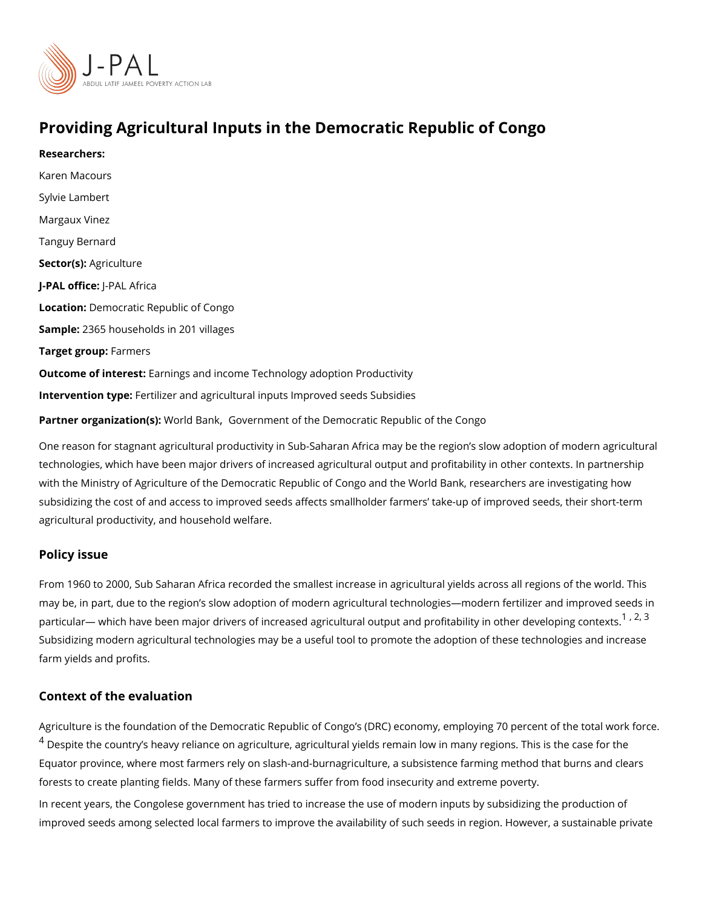### Providing Agricultural Inputs in the Democratic Republic of

Researchers: [Karen Mac](https://www.povertyactionlab.org/person/macours)ours Sylvie Lambert Margaux Vinez [Tanguy Be](https://www.povertyactionlab.org/person/bernard)rnard Sector(Asgriculture J-PAL oftlicPeAL Africa LocatioDemocratic Republic of Congo Sample: 365 households in 201 villages Target grofupermers Outcome of inte Eastings and income Technology adoption Productivity Intervention topetilizer and agricultural inputs Improved seeds Subsidies Partner organizatWoord(st) BaGk vernment of the Democratic Republic of the Congo One reason for stagnant agricultural productivity in Sub-Saharan Africa may be the regior technologies, which have been major drivers of increased agricultural output and profitab

with the Ministry of Agriculture of the Democratic Republic of Congo and the World Bank, subsidizing the cost of and access to improved seeds affects smallholder farmers take-up agricultural productivity, and household welfare.

### Policy issue

From 1960 to 2000, Sub Saharan Africa recorded the smallest increase in agricultural yie may be, in part, due to the region s slow adoption of modern agricultural technologies mo particular which have been major drivers of increased agricultural output and  $\frac{1}{l}r\hat{\sigma}^{(i)}$  $\frac{1}{l}r\hat{\sigma}^{(i)}$  $\frac{1}{l}r\hat{\sigma}^{(i)}$  abilit Subsidizing modern agricultural technologies may be a useful tool to promote the adoptio farm yields and profits.

#### Context of the evaluation

Agriculture is the foundation of the Democratic Republic of Congo s (DRC) economy, empl  $^4$  $^4$  Despite the country s heavy reliance on agriculture, agricultural yields remain low in ma Equator province, where most farmers rely on slash-and-burnagriculture, a subsistence fa forests to create planting fields. Many of these farmers suffer from food insecurity and ex In recent years, the Congolese government has tried to increase the use of modern inputs improved seeds among selected local farmers to improve the availability of such seeds in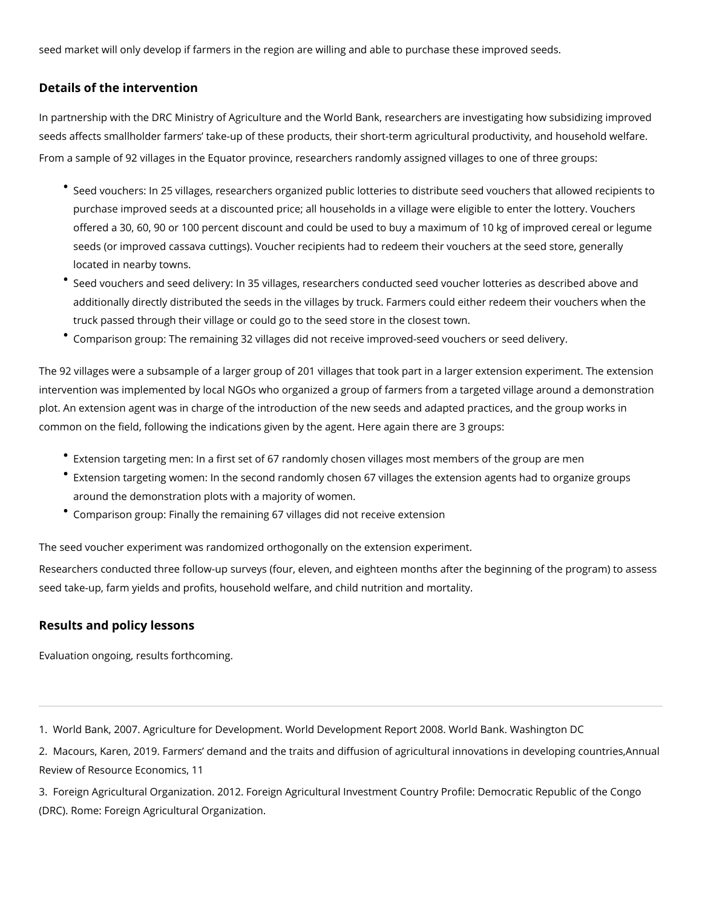<span id="page-1-0"></span>seed market will only develop if farmers in the region are willing and able to purchase these improved seeds.

# **Details of the intervention**

In partnership with the DRC Ministry of Agriculture and the World Bank, researchers are investigating how subsidizing improved seeds affects smallholder farmers' take-up of these products, their short-term agricultural productivity, and household welfare. From a sample of 92 villages in the Equator province, researchers randomly assigned villages to one of three groups:

- Seed vouchers: In 25 villages, researchers organized public lotteries to distribute seed vouchers that allowed recipients to purchase improved seeds at a discounted price; all households in a village were eligible to enter the lottery. Vouchers offered a 30, 60, 90 or 100 percent discount and could be used to buy a maximum of 10 kg of improved cereal or legume seeds (or improved cassava cuttings). Voucher recipients had to redeem their vouchers at the seed store, generally located in nearby towns.
- Seed vouchers and seed delivery: In 35 villages, researchers conducted seed voucher lotteries as described above and additionally directly distributed the seeds in the villages by truck. Farmers could either redeem their vouchers when the truck passed through their village or could go to the seed store in the closest town.
- Comparison group: The remaining 32 villages did not receive improved-seed vouchers or seed delivery.

The 92 villages were a subsample of a larger group of 201 villages that took part in a larger extension experiment. The extension intervention was implemented by local NGOs who organized a group of farmers from a targeted village around a demonstration plot. An extension agent was in charge of the introduction of the new seeds and adapted practices, and the group works in common on the field, following the indications given by the agent. Here again there are 3 groups:

- Extension targeting men: In a first set of 67 randomly chosen villages most members of the group are men
- Extension targeting women: In the second randomly chosen 67 villages the extension agents had to organize groups around the demonstration plots with a majority of women.
- Comparison group: Finally the remaining 67 villages did not receive extension

The seed voucher experiment was randomized orthogonally on the extension experiment.

Researchers conducted three follow-up surveys (four, eleven, and eighteen months after the beginning of the program) to assess seed take-up, farm yields and profits, household welfare, and child nutrition and mortality.

# **Results and policy lessons**

Evaluation ongoing, results forthcoming.

1. World Bank, 2007. Agriculture for Development. World Development Report 2008. World Bank. Washington DC

2. Macours, Karen, 2019. Farmers' demand and the traits and diffusion of agricultural innovations in developing countries,Annual Review of Resource Economics, 11

3. Foreign Agricultural Organization. 2012. Foreign Agricultural Investment Country Profile: Democratic Republic of the Congo (DRC). Rome: Foreign Agricultural Organization.